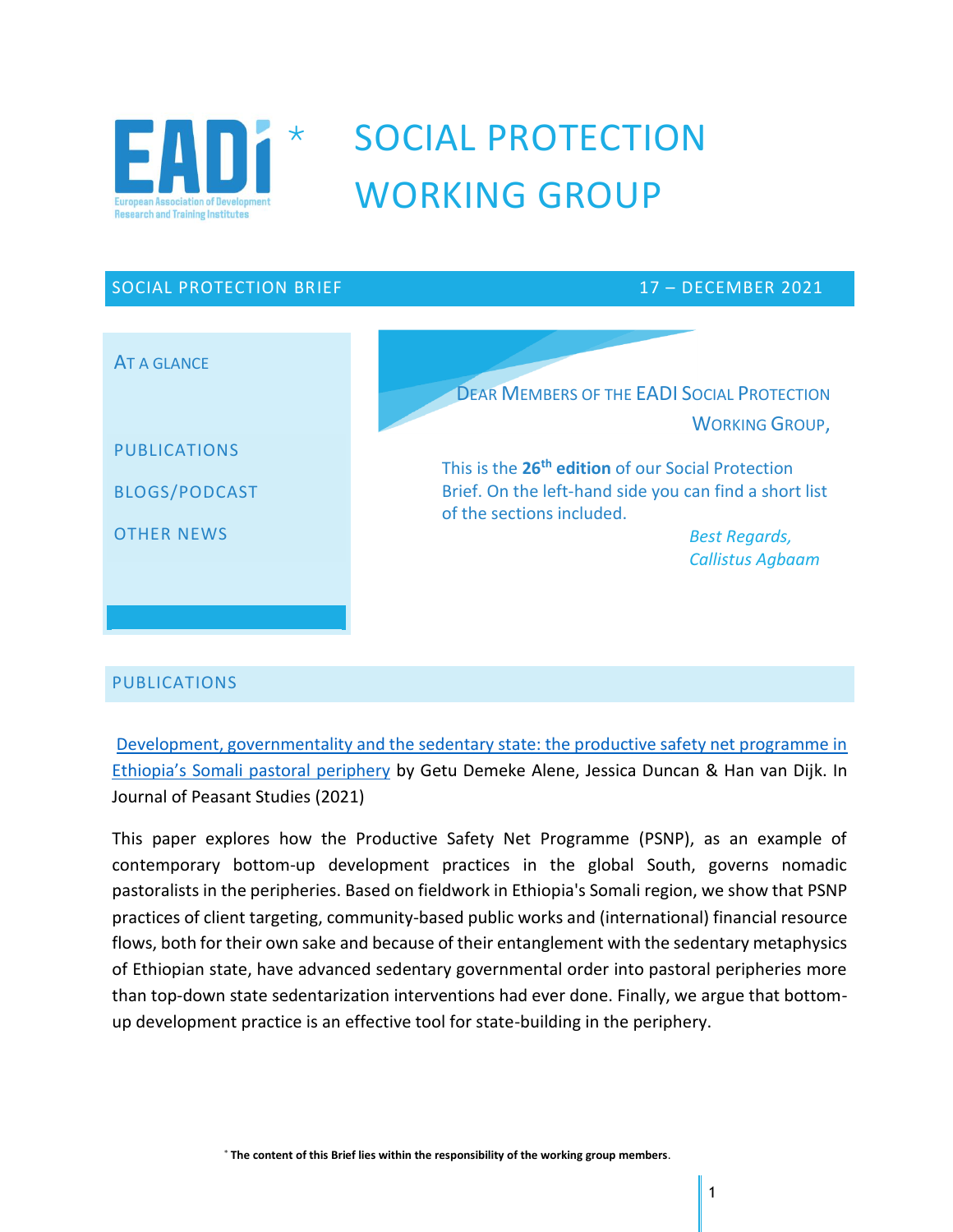

# SOCIAL PROTECTION WORKING GROUP

# SOCIAL PROTECTION BRIEF 17 – DECEMBER 2021 AT A GLANCE PUBLICATIONS BLOGS/PODCAST OTHER NEWS DEAR MEMBERS OF THE EADI SOCIAL PROTECTION WORKING GROUP, This is the **26 th edition** of our Social Protection Brief. On the left-hand side you can find a short list of the sections included. *Best Regards, Callistus Agbaam*

# PUBLICATIONS

Development, governmentality and the sedentary state: the productive safety net programme in Ethiopia's Somali pastoral periphery by Getu Demeke Alene, Jessica Duncan & Han van Dijk. In Journal of Peasant Studies (2021)

This paper explores how the Productive Safety Net Programme (PSNP), as an example of contemporary bottom-up development practices in the global South, governs nomadic pastoralists in the peripheries. Based on fieldwork in Ethiopia's Somali region, we show that PSNP practices of client targeting, community-based public works and (international) financial resource flows, both for their own sake and because of their entanglement with the sedentary metaphysics of Ethiopian state, have advanced sedentary governmental order into pastoral peripheries more than top-down state sedentarization interventions had ever done. Finally, we argue that bottomup development practice is an effective tool for state-building in the periphery.

**The content of this Brief lies within the responsibility of the working group members**.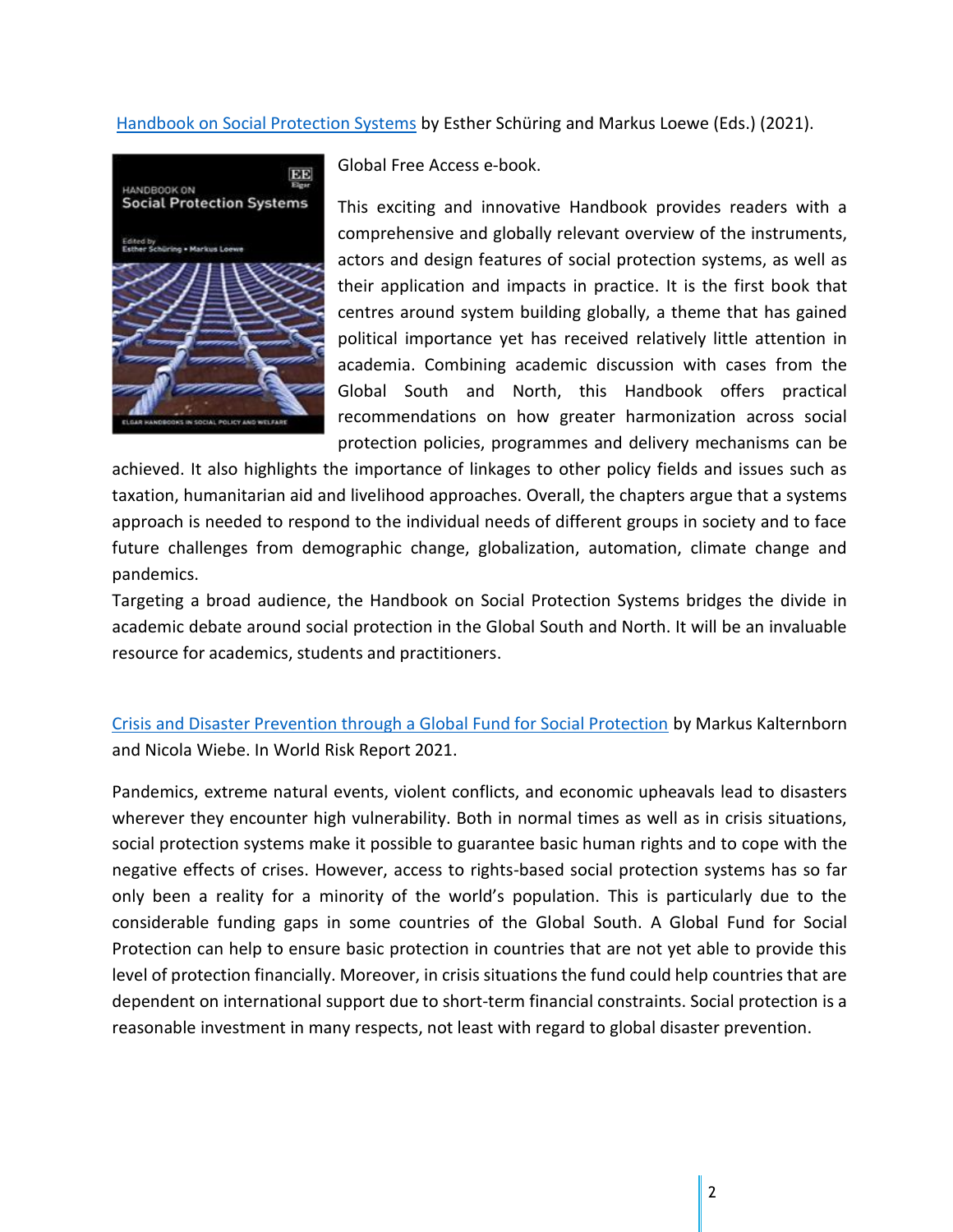#### Handbook on Social Protection Systems by Esther Schüring and Markus Loewe (Eds.) (2021).



Global Free Access e-book.

This exciting and innovative Handbook provides readers with a comprehensive and globally relevant overview of the instruments, actors and design features of social protection systems, as well as their application and impacts in practice. It is the first book that centres around system building globally, a theme that has gained political importance yet has received relatively little attention in academia. Combining academic discussion with cases from the Global South and North, this Handbook offers practical recommendations on how greater harmonization across social protection policies, programmes and delivery mechanisms can be

achieved. It also highlights the importance of linkages to other policy fields and issues such as taxation, humanitarian aid and livelihood approaches. Overall, the chapters argue that a systems approach is needed to respond to the individual needs of different groups in society and to face future challenges from demographic change, globalization, automation, climate change and pandemics.

Targeting a broad audience, the Handbook on Social Protection Systems bridges the divide in academic debate around social protection in the Global South and North. It will be an invaluable resource for academics, students and practitioners.

Crisis and Disaster Prevention through a Global Fund for Social Protection by Markus Kalternborn and Nicola Wiebe. In World Risk Report 2021.

Pandemics, extreme natural events, violent conflicts, and economic upheavals lead to disasters wherever they encounter high vulnerability. Both in normal times as well as in crisis situations, social protection systems make it possible to guarantee basic human rights and to cope with the negative effects of crises. However, access to rights-based social protection systems has so far only been a reality for a minority of the world's population. This is particularly due to the considerable funding gaps in some countries of the Global South. A Global Fund for Social Protection can help to ensure basic protection in countries that are not yet able to provide this level of protection financially. Moreover, in crisis situations the fund could help countries that are dependent on international support due to short-term financial constraints. Social protection is a reasonable investment in many respects, not least with regard to global disaster prevention.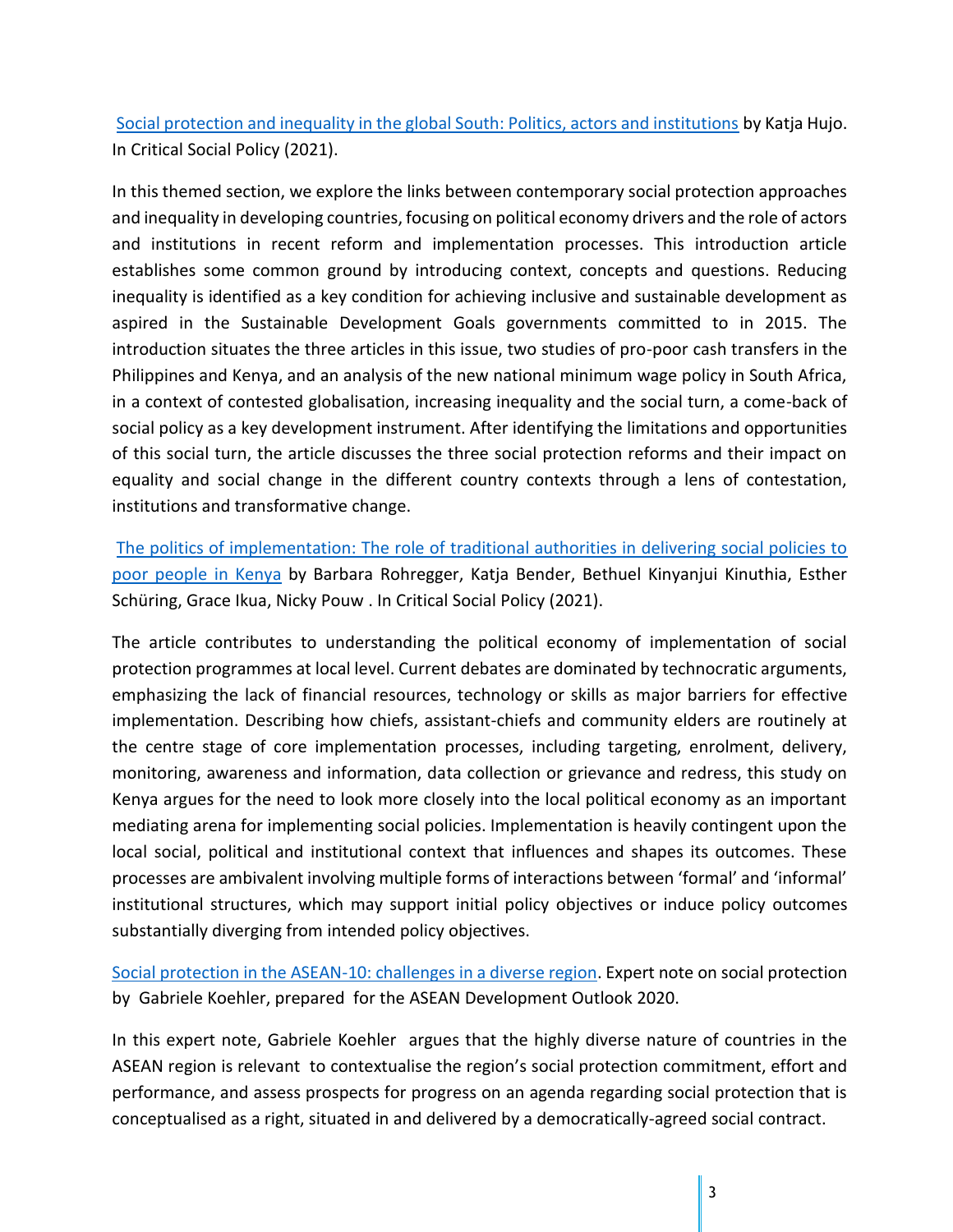Social protection and inequality in the global South: Politics, actors and institutions by Katja Hujo. In Critical Social Policy (2021).

In this themed section, we explore the links between contemporary social protection approaches and inequality in developing countries, focusing on political economy drivers and the role of actors and institutions in recent reform and implementation processes. This introduction article establishes some common ground by introducing context, concepts and questions. Reducing inequality is identified as a key condition for achieving inclusive and sustainable development as aspired in the Sustainable Development Goals governments committed to in 2015. The introduction situates the three articles in this issue, two studies of pro-poor cash transfers in the Philippines and Kenya, and an analysis of the new national minimum wage policy in South Africa, in a context of contested globalisation, increasing inequality and the social turn, a come-back of social policy as a key development instrument. After identifying the limitations and opportunities of this social turn, the article discusses the three social protection reforms and their impact on equality and social change in the different country contexts through a lens of contestation, institutions and transformative change.

The politics of implementation: The role of traditional authorities in delivering social policies to poor people in Kenya by Barbara Rohregger, Katja Bender, Bethuel Kinyanjui Kinuthia, Esther Schüring, Grace Ikua, Nicky Pouw . In Critical Social Policy (2021).

The article contributes to understanding the political economy of implementation of social protection programmes at local level. Current debates are dominated by technocratic arguments, emphasizing the lack of financial resources, technology or skills as major barriers for effective implementation. Describing how chiefs, assistant-chiefs and community elders are routinely at the centre stage of core implementation processes, including targeting, enrolment, delivery, monitoring, awareness and information, data collection or grievance and redress, this study on Kenya argues for the need to look more closely into the local political economy as an important mediating arena for implementing social policies. Implementation is heavily contingent upon the local social, political and institutional context that influences and shapes its outcomes. These processes are ambivalent involving multiple forms of interactions between 'formal' and 'informal' institutional structures, which may support initial policy objectives or induce policy outcomes substantially diverging from intended policy objectives.

Social protection in the ASEAN-10: challenges in a diverse region. Expert note on social protection by Gabriele Koehler, prepared for the ASEAN Development Outlook 2020.

In this expert note, Gabriele Koehler argues that the highly diverse nature of countries in the ASEAN region is relevant to contextualise the region's social protection commitment, effort and performance, and assess prospects for progress on an agenda regarding social protection that is conceptualised as a right, situated in and delivered by a democratically-agreed social contract.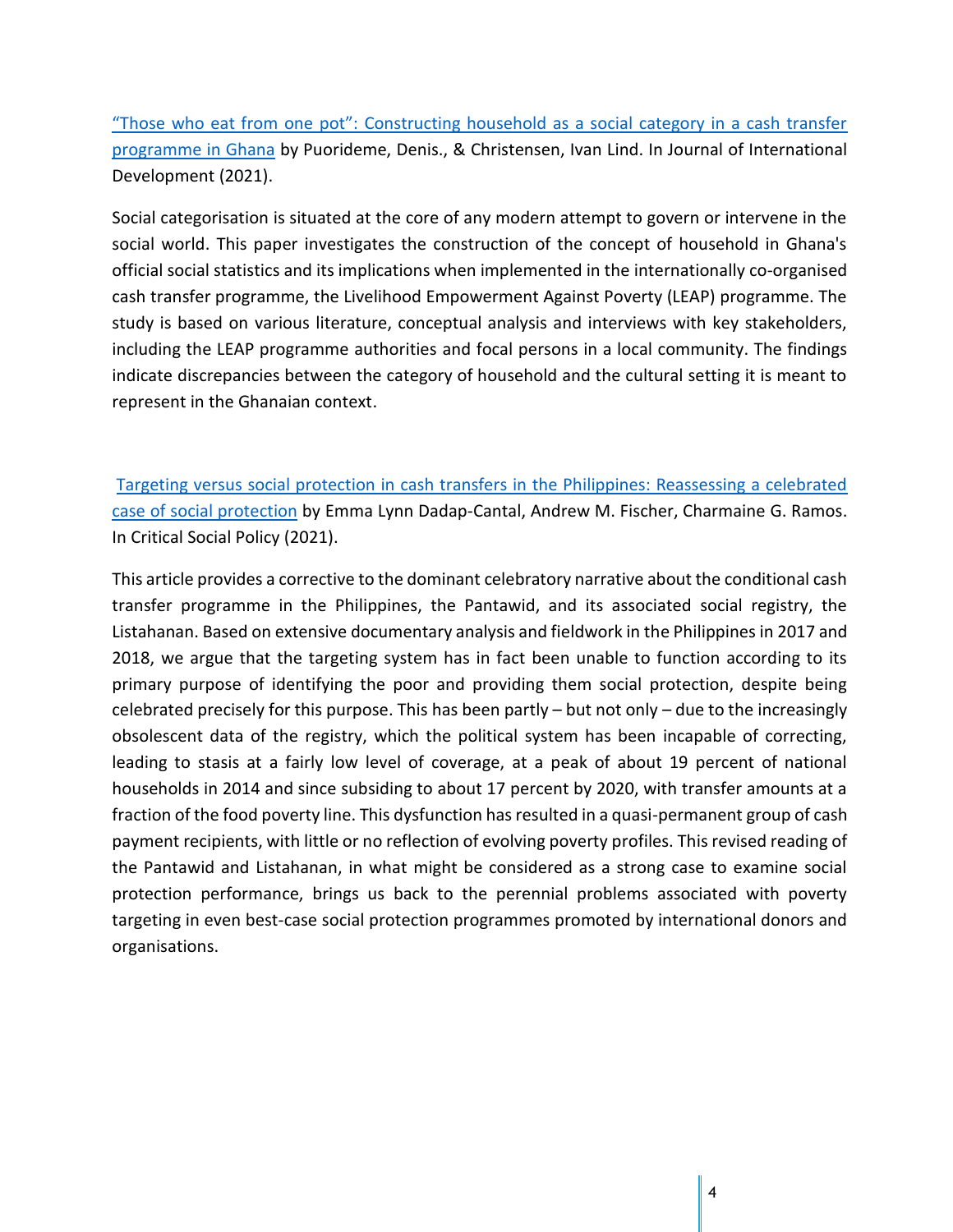"Those who eat from one pot": Constructing household as a social category in a cash transfer programme in Ghana by Puorideme, Denis., & Christensen, Ivan Lind. In Journal of International Development (2021).

Social categorisation is situated at the core of any modern attempt to govern or intervene in the social world. This paper investigates the construction of the concept of household in Ghana's official social statistics and its implications when implemented in the internationally co-organised cash transfer programme, the Livelihood Empowerment Against Poverty (LEAP) programme. The study is based on various literature, conceptual analysis and interviews with key stakeholders, including the LEAP programme authorities and focal persons in a local community. The findings indicate discrepancies between the category of household and the cultural setting it is meant to represent in the Ghanaian context.

Targeting versus social protection in cash transfers in the Philippines: Reassessing a celebrated case of social protection by Emma Lynn Dadap-Cantal, Andrew M. Fischer, Charmaine G. Ramos. In Critical Social Policy (2021).

This article provides a corrective to the dominant celebratory narrative about the conditional cash transfer programme in the Philippines, the Pantawid, and its associated social registry, the Listahanan. Based on extensive documentary analysis and fieldwork in the Philippines in 2017 and 2018, we argue that the targeting system has in fact been unable to function according to its primary purpose of identifying the poor and providing them social protection, despite being celebrated precisely for this purpose. This has been partly – but not only – due to the increasingly obsolescent data of the registry, which the political system has been incapable of correcting, leading to stasis at a fairly low level of coverage, at a peak of about 19 percent of national households in 2014 and since subsiding to about 17 percent by 2020, with transfer amounts at a fraction of the food poverty line. This dysfunction has resulted in a quasi-permanent group of cash payment recipients, with little or no reflection of evolving poverty profiles. This revised reading of the Pantawid and Listahanan, in what might be considered as a strong case to examine social protection performance, brings us back to the perennial problems associated with poverty targeting in even best-case social protection programmes promoted by international donors and organisations.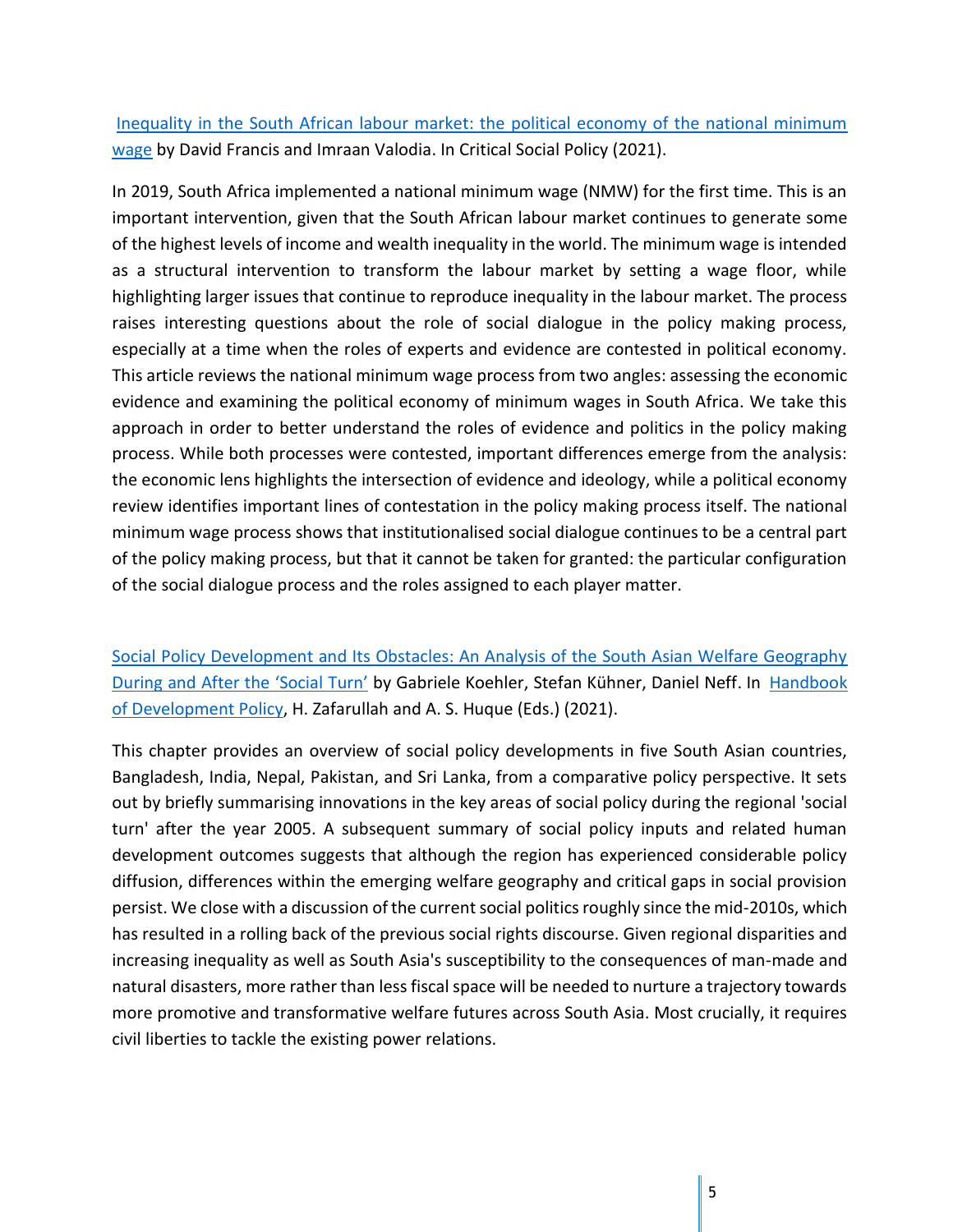Inequality in the South African labour market: the political economy of the national minimum wage by David Francis and Imraan Valodia. In Critical Social Policy (2021).

In 2019, South Africa implemented a national minimum wage (NMW) for the first time. This is an important intervention, given that the South African labour market continues to generate some of the highest levels of income and wealth inequality in the world. The minimum wage is intended as a structural intervention to transform the labour market by setting a wage floor, while highlighting larger issues that continue to reproduce inequality in the labour market. The process raises interesting questions about the role of social dialogue in the policy making process, especially at a time when the roles of experts and evidence are contested in political economy. This article reviews the national minimum wage process from two angles: assessing the economic evidence and examining the political economy of minimum wages in South Africa. We take this approach in order to better understand the roles of evidence and politics in the policy making process. While both processes were contested, important differences emerge from the analysis: the economic lens highlights the intersection of evidence and ideology, while a political economy review identifies important lines of contestation in the policy making process itself. The national minimum wage process shows that institutionalised social dialogue continues to be a central part of the policy making process, but that it cannot be taken for granted: the particular configuration of the social dialogue process and the roles assigned to each player matter.

Social Policy Development and Its Obstacles: An Analysis of the South Asian Welfare Geography During and After the 'Social Turn' by Gabriele Koehler, Stefan Kühner, Daniel Neff. In Handbook of Development Policy, H. Zafarullah and A. S. Huque (Eds.) (2021).

This chapter provides an overview of social policy developments in five South Asian countries, Bangladesh, India, Nepal, Pakistan, and Sri Lanka, from a comparative policy perspective. It sets out by briefly summarising innovations in the key areas of social policy during the regional 'social turn' after the year 2005. A subsequent summary of social policy inputs and related human development outcomes suggests that although the region has experienced considerable policy diffusion, differences within the emerging welfare geography and critical gaps in social provision persist. We close with a discussion of the current social politics roughly since the mid-2010s, which has resulted in a rolling back of the previous social rights discourse. Given regional disparities and increasing inequality as well as South Asia's susceptibility to the consequences of man-made and natural disasters, more rather than less fiscal space will be needed to nurture a trajectory towards more promotive and transformative welfare futures across South Asia. Most crucially, it requires civil liberties to tackle the existing power relations.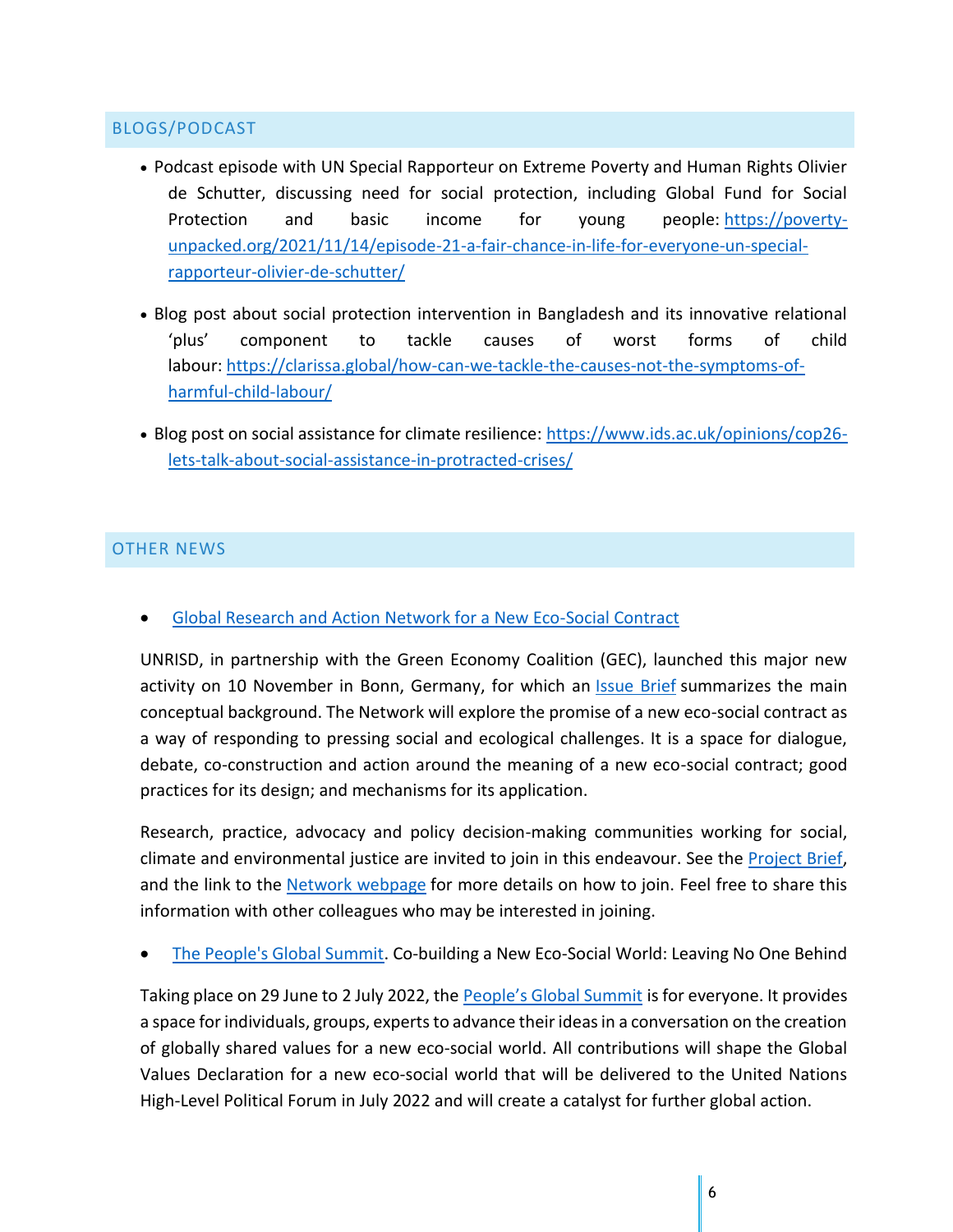# BLOGS/PODCAST

- Podcast episode with UN Special Rapporteur on Extreme Poverty and Human Rights Olivier de Schutter, discussing need for social protection, including Global Fund for Social Protection and basic income for young people: https://povertyunpacked.org/2021/11/14/episode-21-a-fair-chance-in-life-for-everyone-un-specialrapporteur-olivier-de-schutter/
- Blog post about social protection intervention in Bangladesh and its innovative relational 'plus' component to tackle causes of worst forms of child labour: https://clarissa.global/how-can-we-tackle-the-causes-not-the-symptoms-ofharmful-child-labour/
- Blog post on social assistance for climate resilience: https://www.ids.ac.uk/opinions/cop26 lets-talk-about-social-assistance-in-protracted-crises/

# OTHER NEWS

• Global Research and Action Network for a New Eco-Social Contract

UNRISD, in partnership with the Green Economy Coalition (GEC), launched this major new activity on 10 November in Bonn, Germany, for which an Issue Brief summarizes the main conceptual background. The Network will explore the promise of a new eco-social contract as a way of responding to pressing social and ecological challenges. It is a space for dialogue, debate, co-construction and action around the meaning of a new eco-social contract; good practices for its design; and mechanisms for its application.

Research, practice, advocacy and policy decision-making communities working for social, climate and environmental justice are invited to join in this endeavour. See the Project Brief, and the link to the Network webpage for more details on how to join. Feel free to share this information with other colleagues who may be interested in joining.

• The People's Global Summit. Co-building a New Eco-Social World: Leaving No One Behind

Taking place on 29 June to 2 July 2022, the People's Global Summit is for everyone. It provides a space for individuals, groups, experts to advance their ideas in a conversation on the creation of globally shared values for a new eco-social world. All contributions will shape the Global Values Declaration for a new eco-social world that will be delivered to the United Nations High-Level Political Forum in July 2022 and will create a catalyst for further global action.